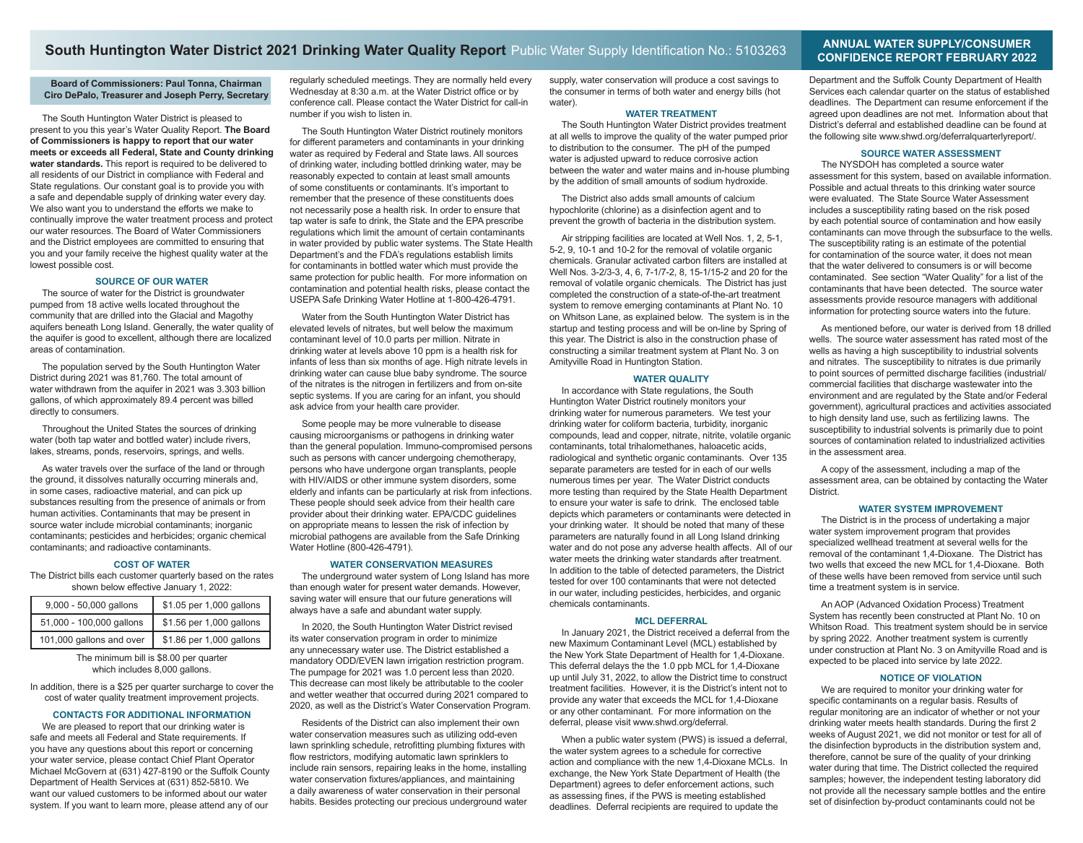# **South Huntington Water District 2021 Drinking Water Quality Report** Public Water Supply Identification No.: 5103263 **ANNUAL WATER SUPPLY/CONSUMER**

## **Board of Commissioners: Paul Tonna, Chairman Ciro DePalo, Treasurer and Joseph Perry, Secretary**

The South Huntington Water District is pleased to present to you this year's Water Quality Report. **The Board of Commissioners is happy to report that our water meets or exceeds all Federal, State and County drinking**  water standards. This report is required to be delivered to all residents of our District in compliance with Federal and State regulations. Our constant goal is to provide you with a safe and dependable supply of drinking water every day. We also want you to understand the efforts we make to continually improve the water treatment process and protect our water resources. The Board of Water Commissioners and the District employees are committed to ensuring that you and your family receive the highest quality water at the lowest possible cost.

# **SOURCE OF OUR WATER**

The source of water for the District is groundwater pumped from 18 active wells located throughout the community that are drilled into the Glacial and Magothy aquifers beneath Long Island. Generally, the water quality of the aquifer is good to excellent, although there are localized areas of contamination.

The population served by the South Huntington Water District during 2021 was 81,760. The total amount of water withdrawn from the aquifer in 2021 was 3.303 billion gallons, of which approximately 89.4 percent was billed directly to consumers.

Throughout the United States the sources of drinking water (both tap water and bottled water) include rivers, lakes, streams, ponds, reservoirs, springs, and wells.

As water travels over the surface of the land or through the ground, it dissolves naturally occurring minerals and, in some cases, radioactive material, and can pick up substances resulting from the presence of animals or from human activities. Contaminants that may be present in source water include microbial contaminants; inorganic contaminants; pesticides and herbicides; organic chemical contaminants; and radioactive contaminants.

#### **COST OF WATER**

The District bills each customer quarterly based on the rates shown below effective January 1, 2022:

| 9,000 - 50,000 gallons   | \$1.05 per 1,000 gallons |  |  |  |
|--------------------------|--------------------------|--|--|--|
| 51,000 - 100,000 gallons | \$1.56 per 1,000 gallons |  |  |  |
| 101,000 gallons and over | \$1.86 per 1,000 gallons |  |  |  |

The minimum bill is \$8.00 per quarter which includes 8,000 gallons.

In addition, there is a \$25 per quarter surcharge to cover the cost of water quality treatment improvement projects.

# **CONTACTS FOR ADDITIONAL INFORMATION**

We are pleased to report that our drinking water is safe and meets all Federal and State requirements. If you have any questions about this report or concerning your water service, please contact Chief Plant Operator Michael McGovern at (631) 427-8190 or the Suffolk County Department of Health Services at (631) 852-5810. We want our valued customers to be informed about our water system. If you want to learn more, please attend any of our

regularly scheduled meetings. They are normally held every Wednesday at 8:30 a.m. at the Water District office or by conference call. Please contact the Water District for call-in number if you wish to listen in.

The South Huntington Water District routinely monitors for different parameters and contaminants in your drinking water as required by Federal and State laws. All sources of drinking water, including bottled drinking water, may be reasonably expected to contain at least small amounts of some constituents or contaminants. It's important to remember that the presence of these constituents does not necessarily pose a health risk. In order to ensure that tap water is safe to drink, the State and the EPA prescribe regulations which limit the amount of certain contaminants in water provided by public water systems. The State Health Department's and the FDA's regulations establish limits for contaminants in bottled water which must provide the same protection for public health. For more information on contamination and potential health risks, please contact the USEPA Safe Drinking Water Hotline at 1-800-426-4791.

Water from the South Huntington Water District has elevated levels of nitrates, but well below the maximum contaminant level of 10.0 parts per million. Nitrate in drinking water at levels above 10 ppm is a health risk for infants of less than six months of age. High nitrate levels in drinking water can cause blue baby syndrome. The source of the nitrates is the nitrogen in fertilizers and from on-site septic systems. If you are caring for an infant, you should ask advice from your health care provider.

Some people may be more vulnerable to disease causing microorganisms or pathogens in drinking water than the general population. Immuno-compromised persons such as persons with cancer undergoing chemotherapy, persons who have undergone organ transplants, people with HIV/AIDS or other immune system disorders, some elderly and infants can be particularly at risk from infections. These people should seek advice from their health care provider about their drinking water. EPA/CDC guidelines on appropriate means to lessen the risk of infection by microbial pathogens are available from the Safe Drinking Water Hotline (800-426-4791).

# **WATER CONSERVATION MEASURES**

The underground water system of Long Island has more than enough water for present water demands. However, saving water will ensure that our future generations will always have a safe and abundant water supply.

In 2020, the South Huntington Water District revised its water conservation program in order to minimize any unnecessary water use. The District established a mandatory ODD/EVEN lawn irrigation restriction program. The pumpage for 2021 was 1.0 percent less than 2020. This decrease can most likely be attributable to the cooler and wetter weather that occurred during 2021 compared to 2020, as well as the District's Water Conservation Program.

Residents of the District can also implement their own water conservation measures such as utilizing odd-even lawn sprinkling schedule, retrofitting plumbing fixtures with flow restrictors, modifying automatic lawn sprinklers to include rain sensors, repairing leaks in the home, installing water conservation fixtures/appliances, and maintaining a daily awareness of water conservation in their personal habits. Besides protecting our precious underground water

supply, water conservation will produce a cost savings to the consumer in terms of both water and energy bills (hot water).

## **WATER TREATMENT**

The South Huntington Water District provides treatment at all wells to improve the quality of the water pumped prior to distribution to the consumer. The pH of the pumped water is adjusted upward to reduce corrosive action between the water and water mains and in-house plumbing by the addition of small amounts of sodium hydroxide.

The District also adds small amounts of calcium hypochlorite (chlorine) as a disinfection agent and to prevent the growth of bacteria in the distribution system.

Air stripping facilities are located at Well Nos. 1, 2, 5-1, 5-2, 9, 10-1 and 10-2 for the removal of volatile organic chemicals. Granular activated carbon filters are installed at Well Nos. 3-2/3-3, 4, 6, 7-1/7-2, 8, 15-1/15-2 and 20 for the removal of volatile organic chemicals. The District has just completed the construction of a state-of-the-art treatment system to remove emerging contaminants at Plant No. 10 on Whitson Lane, as explained below. The system is in the startup and testing process and will be on-line by Spring of this year. The District is also in the construction phase of constructing a similar treatment system at Plant No. 3 on Amityville Road in Huntington Station.

#### **WATER QUALITY**

In accordance with State regulations, the South Huntington Water District routinely monitors your drinking water for numerous parameters. We test your drinking water for coliform bacteria, turbidity, inorganic compounds, lead and copper, nitrate, nitrite, volatile organic contaminants, total trihalomethanes, haloacetic acids, radiological and synthetic organic contaminants. Over 135 separate parameters are tested for in each of our wells numerous times per year. The Water District conducts more testing than required by the State Health Department to ensure your water is safe to drink. The enclosed table depicts which parameters or contaminants were detected in your drinking water. It should be noted that many of these parameters are naturally found in all Long Island drinking water and do not pose any adverse health affects. All of our water meets the drinking water standards after treatment. In addition to the table of detected parameters, the District tested for over 100 contaminants that were not detected in our water, including pesticides, herbicides, and organic chemicals contaminants.

#### **MCL DEFERRAL**

In January 2021, the District received a deferral from the new Maximum Contaminant Level (MCL) established by the New York State Department of Health for 1,4-Dioxane. This deferral delays the the 1.0 ppb MCL for 1,4-Dioxane up until July 31, 2022, to allow the District time to construct treatment facilities. However, it is the District's intent not to provide any water that exceeds the MCL for 1,4-Dioxane or any other contaminant. For more information on the deferral, please visit www.shwd.org/deferral.

When a public water system (PWS) is issued a deferral, the water system agrees to a schedule for corrective action and compliance with the new 1,4-Dioxane MCLs. In exchange, the New York State Department of Health (the Department) agrees to defer enforcement actions, such as assessing fines, if the PWS is meeting established deadlines. Deferral recipients are required to update the

# **CONFIDENCE REPORT FEBRUARY 2022**

Department and the Suffolk County Department of Health Services each calendar quarter on the status of established deadlines. The Department can resume enforcement if the agreed upon deadlines are not met. Information about that District's deferral and established deadline can be found at the following site www.shwd.org/deferralquarterlyreport/.

#### **SOURCE WATER ASSESSMENT**

The NYSDOH has completed a source water assessment for this system, based on available information. Possible and actual threats to this drinking water source were evaluated. The State Source Water Assessment includes a susceptibility rating based on the risk posed by each potential source of contamination and how easily contaminants can move through the subsurface to the wells. The susceptibility rating is an estimate of the potential for contamination of the source water, it does not mean that the water delivered to consumers is or will become contaminated. See section "Water Quality" for a list of the contaminants that have been detected. The source water assessments provide resource managers with additional information for protecting source waters into the future.

As mentioned before, our water is derived from 18 drilled wells. The source water assessment has rated most of the wells as having a high susceptibility to industrial solvents and nitrates. The susceptibility to nitrates is due primarily to point sources of permitted discharge facilities (industrial/ commercial facilities that discharge wastewater into the environment and are regulated by the State and/or Federal government), agricultural practices and activities associated to high density land use, such as fertilizing lawns. The susceptibility to industrial solvents is primarily due to point sources of contamination related to industrialized activities in the assessment area.

A copy of the assessment, including a map of the assessment area, can be obtained by contacting the Water District.

# **WATER SYSTEM IMPROVEMENT**

The District is in the process of undertaking a major water system improvement program that provides specialized wellhead treatment at several wells for the removal of the contaminant 1,4-Dioxane. The District has two wells that exceed the new MCL for 1,4-Dioxane. Both of these wells have been removed from service until such time a treatment system is in service.

An AOP (Advanced Oxidation Process) Treatment System has recently been constructed at Plant No. 10 on Whitson Road. This treatment system should be in service by spring 2022. Another treatment system is currently under construction at Plant No. 3 on Amityville Road and is expected to be placed into service by late 2022.

#### **NOTICE OF VIOLATION**

We are required to monitor your drinking water for specific contaminants on a regular basis. Results of regular monitoring are an indicator of whether or not your drinking water meets health standards. During the first 2 weeks of August 2021, we did not monitor or test for all of the disinfection byproducts in the distribution system and, therefore, cannot be sure of the quality of your drinking water during that time. The District collected the required samples; however, the independent testing laboratory did not provide all the necessary sample bottles and the entire set of disinfection by-product contaminants could not be